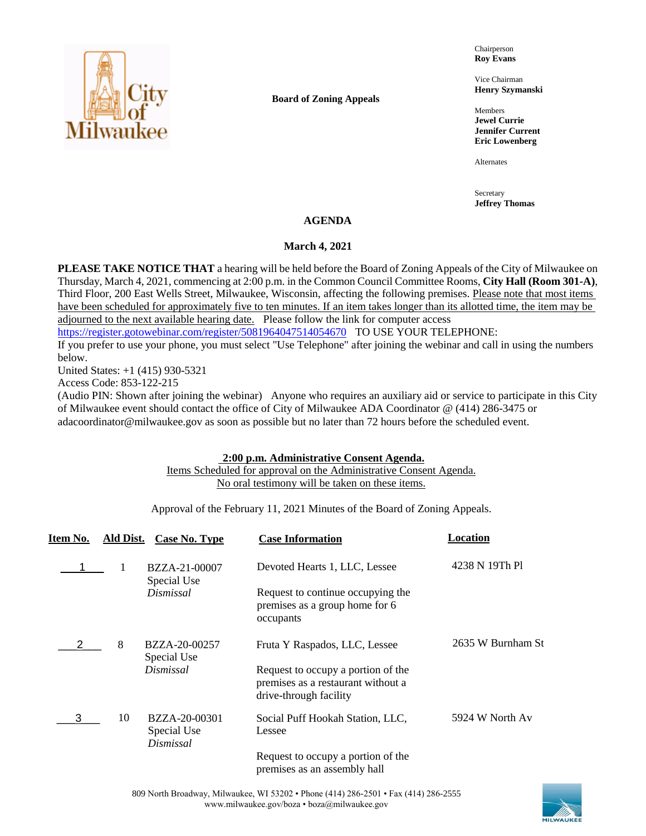

**Board of Zoning Appeals**

Chairperson **Roy Evans**

Vice Chairman **Henry Szymanski**

Members **Jewel Currie Jennifer Current Eric Lowenberg**

Alternates

Secretary **Jeffrey Thomas**

## **AGENDA**

### **March 4, 2021**

**PLEASE TAKE NOTICE THAT** a hearing will be held before the Board of Zoning Appeals of the City of Milwaukee on Thursday, March 4, 2021, commencing at 2:00 p.m. in the Common Council Committee Rooms, **City Hall (Room 301-A)**, Third Floor, 200 East Wells Street, Milwaukee, Wisconsin, affecting the following premises. Please note that most items have been scheduled for approximately five to ten minutes. If an item takes longer than its allotted time, the item may be adjourned to the next available hearing date. Please follow the link for computer access

<https://register.gotowebinar.com/register/5081964047514054670>TO USE YOUR TELEPHONE:

If you prefer to use your phone, you must select "Use Telephone" after joining the webinar and call in using the numbers below.

United States: +1 (415) 930-5321

Access Code: 853-122-215

(Audio PIN: Shown after joining the webinar) Anyone who requires an auxiliary aid or service to participate in this City of Milwaukee event should contact the office of City of Milwaukee ADA Coordinator @ (414) 286-3475 or adacoordinator@milwaukee.gov as soon as possible but no later than 72 hours before the scheduled event.

#### **2:00 p.m. Administrative Consent Agenda.**

Items Scheduled for approval on the Administrative Consent Agenda. No oral testimony will be taken on these items.

Approval of the February 11, 2021 Minutes of the Board of Zoning Appeals.

| Item No. | Ald Dist. | Case No. Type                             | <b>Case Information</b>                                                                            | Location          |
|----------|-----------|-------------------------------------------|----------------------------------------------------------------------------------------------------|-------------------|
|          |           | BZZA-21-00007<br>Special Use              | Devoted Hearts 1, LLC, Lessee                                                                      | 4238 N 19Th Pl    |
|          |           | Dismissal                                 | Request to continue occupying the<br>premises as a group home for 6<br>occupants                   |                   |
|          | 8         | BZZA-20-00257<br>Special Use              | Fruta Y Raspados, LLC, Lessee                                                                      | 2635 W Burnham St |
|          |           | Dismissal                                 | Request to occupy a portion of the<br>premises as a restaurant without a<br>drive-through facility |                   |
| 3        | 10        | BZZA-20-00301<br>Special Use<br>Dismissal | Social Puff Hookah Station, LLC,<br>Lessee                                                         | 5924 W North Av   |
|          |           |                                           | Request to occupy a portion of the<br>premises as an assembly hall                                 |                   |

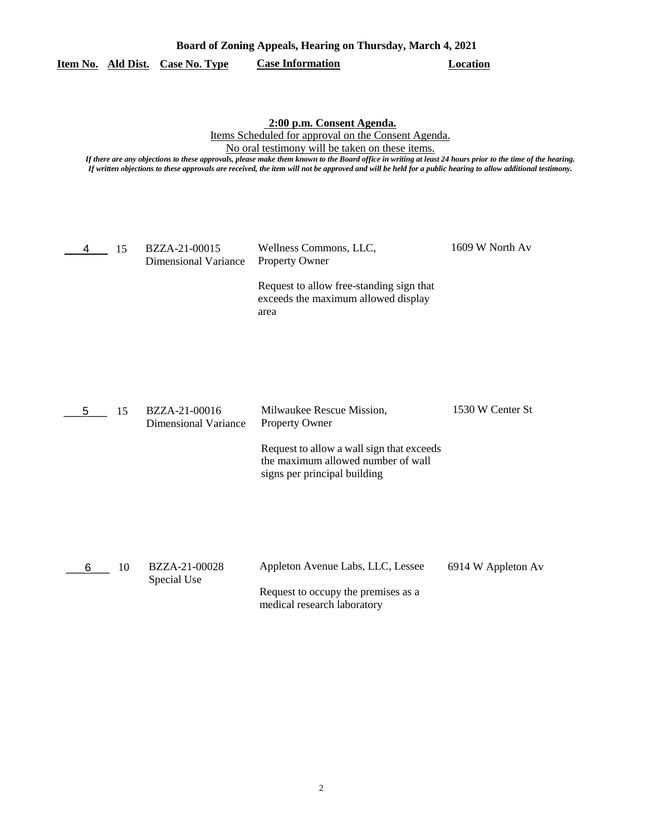|  |                                  | Board of Zoning Appeals, Hearing on Thursday, March 4, 2021 |          |
|--|----------------------------------|-------------------------------------------------------------|----------|
|  | Item No. Ald Dist. Case No. Type | <b>Case Information</b>                                     | Location |

**2:00 p.m. Consent Agenda.**

Items Scheduled for approval on the Consent Agenda.

No oral testimony will be taken on these items.

*If there are any objections to these approvals, please make them known to the Board office in writing at least 24 hours prior to the time of the hearing. If written objections to these approvals are received, the item will not be approved and will be held for a public hearing to allow additional testimony.*

| 4 | 15 | BZZA-21-00015<br><b>Dimensional Variance</b> | Wellness Commons, LLC,<br>Property Owner                                                                                                                              | 1609 W North Av    |
|---|----|----------------------------------------------|-----------------------------------------------------------------------------------------------------------------------------------------------------------------------|--------------------|
|   |    |                                              | Request to allow free-standing sign that<br>exceeds the maximum allowed display<br>area                                                                               |                    |
| 5 | 15 | BZZA-21-00016<br><b>Dimensional Variance</b> | Milwaukee Rescue Mission,<br><b>Property Owner</b><br>Request to allow a wall sign that exceeds<br>the maximum allowed number of wall<br>signs per principal building | 1530 W Center St   |
| 6 | 10 | BZZA-21-00028<br>Special Use                 | Appleton Avenue Labs, LLC, Lessee<br>Request to occupy the premises as a<br>medical research laboratory                                                               | 6914 W Appleton Av |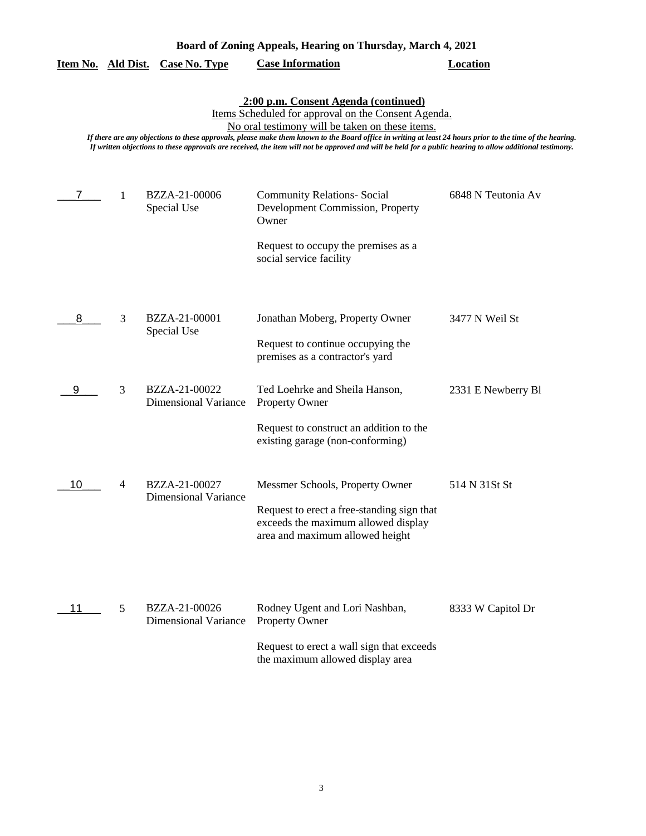| Board of Zoning Appeals, Hearing on Thursday, March 4, 2021 |   |                                              |                                                                                                                                                                                                                                                                                                                                                                                                                                                                          |                    |  |
|-------------------------------------------------------------|---|----------------------------------------------|--------------------------------------------------------------------------------------------------------------------------------------------------------------------------------------------------------------------------------------------------------------------------------------------------------------------------------------------------------------------------------------------------------------------------------------------------------------------------|--------------------|--|
| <u>Item No. Ald Dist.</u>                                   |   | <b>Case No. Type</b>                         | <b>Case Information</b>                                                                                                                                                                                                                                                                                                                                                                                                                                                  | <b>Location</b>    |  |
|                                                             |   |                                              | 2:00 p.m. Consent Agenda (continued)<br>Items Scheduled for approval on the Consent Agenda.<br>No oral testimony will be taken on these items.<br>If there are any objections to these approvals, please make them known to the Board office in writing at least 24 hours prior to the time of the hearing.<br>If written objections to these approvals are received, the item will not be approved and will be held for a public hearing to allow additional testimony. |                    |  |
| 7                                                           | 1 | BZZA-21-00006<br>Special Use                 | <b>Community Relations- Social</b><br>Development Commission, Property<br>Owner<br>Request to occupy the premises as a<br>social service facility                                                                                                                                                                                                                                                                                                                        | 6848 N Teutonia Av |  |
| 8                                                           | 3 | BZZA-21-00001<br>Special Use                 | Jonathan Moberg, Property Owner<br>Request to continue occupying the<br>premises as a contractor's yard                                                                                                                                                                                                                                                                                                                                                                  | 3477 N Weil St     |  |
| 9                                                           | 3 | BZZA-21-00022<br><b>Dimensional Variance</b> | Ted Loehrke and Sheila Hanson,<br><b>Property Owner</b><br>Request to construct an addition to the<br>existing garage (non-conforming)                                                                                                                                                                                                                                                                                                                                   | 2331 E Newberry Bl |  |
| 10                                                          | 4 | BZZA-21-00027<br><b>Dimensional Variance</b> | Messmer Schools, Property Owner<br>Request to erect a free-standing sign that<br>exceeds the maximum allowed display<br>area and maximum allowed height                                                                                                                                                                                                                                                                                                                  | 514 N 31St St      |  |
| 11                                                          | 5 | BZZA-21-00026<br><b>Dimensional Variance</b> | Rodney Ugent and Lori Nashban,<br><b>Property Owner</b><br>Request to erect a wall sign that exceeds<br>the maximum allowed display area                                                                                                                                                                                                                                                                                                                                 | 8333 W Capitol Dr  |  |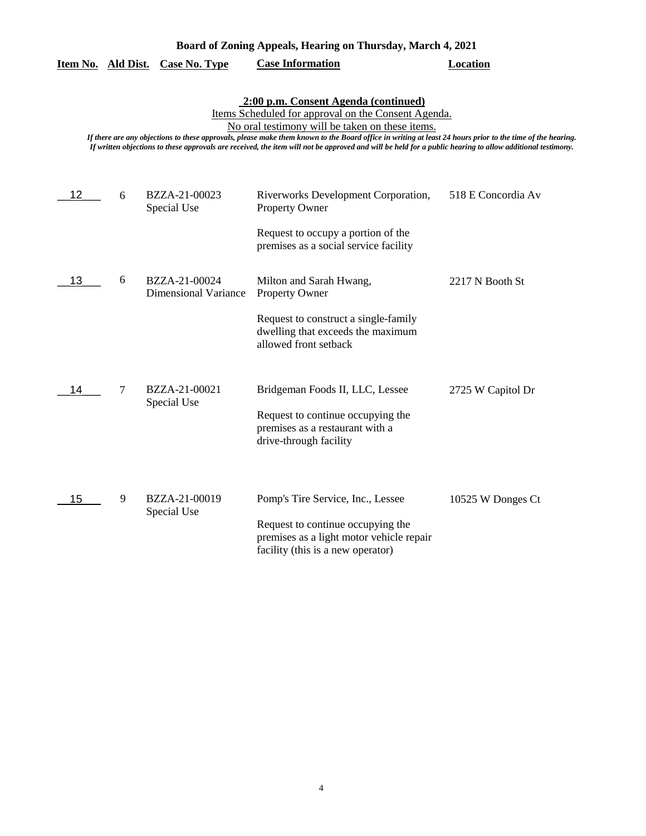| Board of Zoning Appeals, Hearing on Thursday, March 4, 2021 |   |                                              |                                                                                                                                                                                                                                                                                                                                                                                                                                                                          |                    |
|-------------------------------------------------------------|---|----------------------------------------------|--------------------------------------------------------------------------------------------------------------------------------------------------------------------------------------------------------------------------------------------------------------------------------------------------------------------------------------------------------------------------------------------------------------------------------------------------------------------------|--------------------|
| Item No. Ald Dist.                                          |   | <b>Case No. Type</b>                         | <b>Case Information</b>                                                                                                                                                                                                                                                                                                                                                                                                                                                  | <b>Location</b>    |
|                                                             |   |                                              | 2:00 p.m. Consent Agenda (continued)<br>Items Scheduled for approval on the Consent Agenda.<br>No oral testimony will be taken on these items.<br>If there are any objections to these approvals, please make them known to the Board office in writing at least 24 hours prior to the time of the hearing.<br>If written objections to these approvals are received, the item will not be approved and will be held for a public hearing to allow additional testimony. |                    |
| 12                                                          | 6 | BZZA-21-00023<br>Special Use                 | Riverworks Development Corporation,<br><b>Property Owner</b><br>Request to occupy a portion of the<br>premises as a social service facility                                                                                                                                                                                                                                                                                                                              | 518 E Concordia Av |
| 13                                                          | 6 | BZZA-21-00024<br><b>Dimensional Variance</b> | Milton and Sarah Hwang,<br><b>Property Owner</b><br>Request to construct a single-family<br>dwelling that exceeds the maximum<br>allowed front setback                                                                                                                                                                                                                                                                                                                   | 2217 N Booth St    |
| 14                                                          | 7 | BZZA-21-00021<br>Special Use                 | Bridgeman Foods II, LLC, Lessee<br>Request to continue occupying the<br>premises as a restaurant with a<br>drive-through facility                                                                                                                                                                                                                                                                                                                                        | 2725 W Capitol Dr  |
| 15                                                          | 9 | BZZA-21-00019<br>Special Use                 | Pomp's Tire Service, Inc., Lessee<br>Request to continue occupying the<br>premises as a light motor vehicle repair<br>facility (this is a new operator)                                                                                                                                                                                                                                                                                                                  | 10525 W Donges Ct  |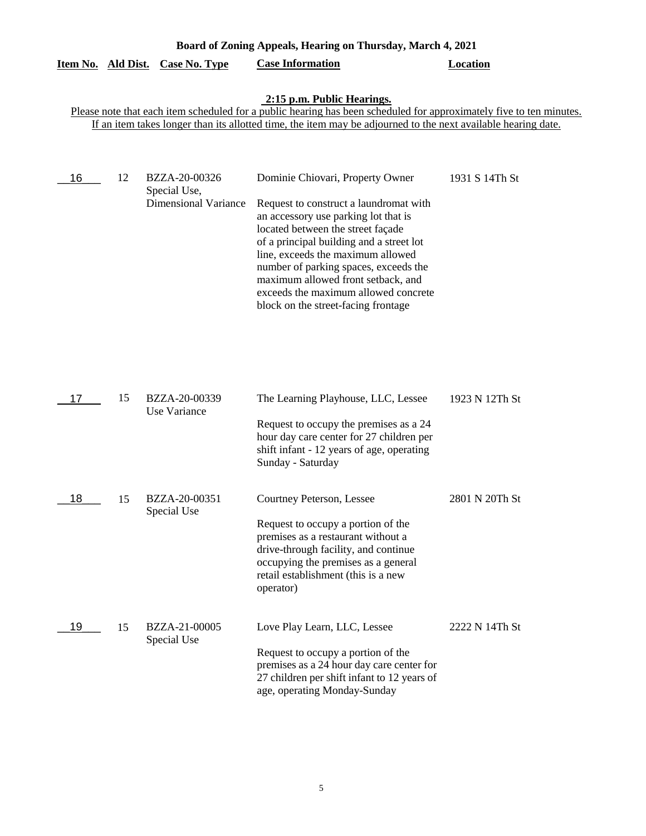| Board of Zoning Appeals, Hearing on Thursday, March 4, 2021 |    |                                                              |                                                                                                                                                                                                                                                                                                                                                                                                        |                 |  |
|-------------------------------------------------------------|----|--------------------------------------------------------------|--------------------------------------------------------------------------------------------------------------------------------------------------------------------------------------------------------------------------------------------------------------------------------------------------------------------------------------------------------------------------------------------------------|-----------------|--|
| Item No. Ald Dist.                                          |    | <b>Case No. Type</b>                                         | <b>Case Information</b>                                                                                                                                                                                                                                                                                                                                                                                | <b>Location</b> |  |
|                                                             |    |                                                              | 2:15 p.m. Public Hearings.<br>Please note that each item scheduled for a public hearing has been scheduled for approximately five to ten minutes.<br>If an item takes longer than its allotted time, the item may be adjourned to the next available hearing date.                                                                                                                                     |                 |  |
| 16                                                          | 12 | BZZA-20-00326<br>Special Use,<br><b>Dimensional Variance</b> | Dominie Chiovari, Property Owner<br>Request to construct a laundromat with<br>an accessory use parking lot that is<br>located between the street façade<br>of a principal building and a street lot<br>line, exceeds the maximum allowed<br>number of parking spaces, exceeds the<br>maximum allowed front setback, and<br>exceeds the maximum allowed concrete<br>block on the street-facing frontage | 1931 S 14Th St  |  |
| 17                                                          | 15 | BZZA-20-00339<br>Use Variance                                | The Learning Playhouse, LLC, Lessee<br>Request to occupy the premises as a 24<br>hour day care center for 27 children per<br>shift infant - 12 years of age, operating<br>Sunday - Saturday                                                                                                                                                                                                            | 1923 N 12Th St  |  |
| 18                                                          | 15 | BZZA-20-00351<br>Special Use                                 | Courtney Peterson, Lessee<br>Request to occupy a portion of the<br>premises as a restaurant without a<br>drive-through facility, and continue<br>occupying the premises as a general<br>retail establishment (this is a new<br>operator)                                                                                                                                                               | 2801 N 20Th St  |  |
| 19                                                          | 15 | BZZA-21-00005<br>Special Use                                 | Love Play Learn, LLC, Lessee<br>Request to occupy a portion of the<br>premises as a 24 hour day care center for<br>27 children per shift infant to 12 years of<br>age, operating Monday-Sunday                                                                                                                                                                                                         | 2222 N 14Th St  |  |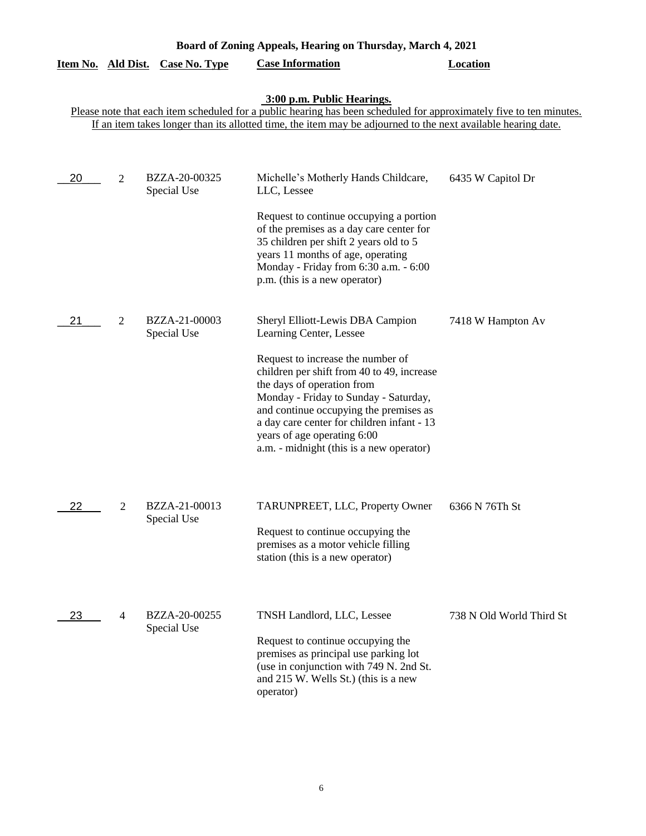|    |                |                                  | Board of Zoning Appeals, Hearing on Thursday, March 4, 2021                                                                                                                                                                                                                                                                                                                              |                          |
|----|----------------|----------------------------------|------------------------------------------------------------------------------------------------------------------------------------------------------------------------------------------------------------------------------------------------------------------------------------------------------------------------------------------------------------------------------------------|--------------------------|
|    |                | Item No. Ald Dist. Case No. Type | <b>Case Information</b>                                                                                                                                                                                                                                                                                                                                                                  | <b>Location</b>          |
|    |                |                                  | 3:00 p.m. Public Hearings.<br>Please note that each item scheduled for a public hearing has been scheduled for approximately five to ten minutes.<br>If an item takes longer than its allotted time, the item may be adjourned to the next available hearing date.                                                                                                                       |                          |
| 20 | $\overline{2}$ | BZZA-20-00325<br>Special Use     | Michelle's Motherly Hands Childcare,<br>LLC, Lessee<br>Request to continue occupying a portion<br>of the premises as a day care center for<br>35 children per shift 2 years old to 5<br>years 11 months of age, operating<br>Monday - Friday from 6:30 a.m. - 6:00<br>p.m. (this is a new operator)                                                                                      | 6435 W Capitol Dr        |
| 21 | $\overline{2}$ | BZZA-21-00003<br>Special Use     | Sheryl Elliott-Lewis DBA Campion<br>Learning Center, Lessee<br>Request to increase the number of<br>children per shift from 40 to 49, increase<br>the days of operation from<br>Monday - Friday to Sunday - Saturday,<br>and continue occupying the premises as<br>a day care center for children infant - 13<br>years of age operating 6:00<br>a.m. - midnight (this is a new operator) | 7418 W Hampton Av        |
| 22 | 2              | BZZA-21-00013<br>Special Use     | TARUNPREET, LLC, Property Owner<br>Request to continue occupying the<br>premises as a motor vehicle filling<br>station (this is a new operator)                                                                                                                                                                                                                                          | 6366 N 76Th St           |
| 23 | $\overline{4}$ | BZZA-20-00255<br>Special Use     | TNSH Landlord, LLC, Lessee<br>Request to continue occupying the<br>premises as principal use parking lot<br>(use in conjunction with 749 N. 2nd St.<br>and 215 W. Wells St.) (this is a new<br>operator)                                                                                                                                                                                 | 738 N Old World Third St |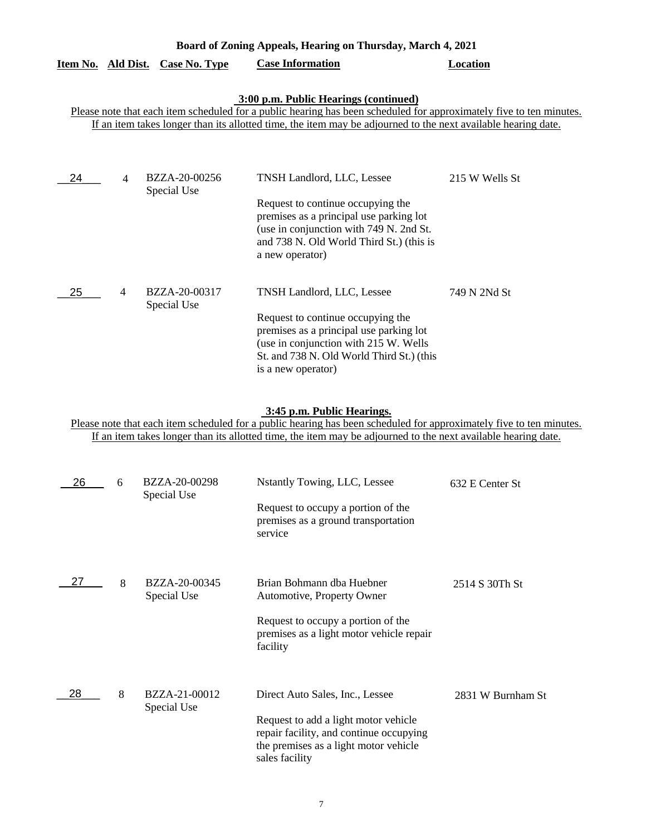| Board of Zoning Appeals, Hearing on Thursday, March 4, 2021 |                |                                  |                                                                                                                                                                                                                                                                               |                |
|-------------------------------------------------------------|----------------|----------------------------------|-------------------------------------------------------------------------------------------------------------------------------------------------------------------------------------------------------------------------------------------------------------------------------|----------------|
|                                                             |                | Item No. Ald Dist. Case No. Type | <b>Case Information</b>                                                                                                                                                                                                                                                       | Location       |
|                                                             |                |                                  | 3:00 p.m. Public Hearings (continued)<br>Please note that each item scheduled for a public hearing has been scheduled for approximately five to ten minutes.<br>If an item takes longer than its allotted time, the item may be adjourned to the next available hearing date. |                |
| 24                                                          | $\overline{4}$ | BZZA-20-00256<br>Special Use     | TNSH Landlord, LLC, Lessee<br>Request to continue occupying the<br>premises as a principal use parking lot<br>(use in conjunction with 749 N. 2nd St.)<br>and 738 N. Old World Third St.) (this is<br>a new operator)                                                         | 215 W Wells St |
| 25                                                          | $\overline{4}$ | BZZA-20-00317<br>Special Use     | TNSH Landlord, LLC, Lessee<br>Request to continue occupying the<br>premises as a principal use parking lot<br>(use in conjunction with 215 W. Wells<br>St. and 738 N. Old World Third St.) (this<br>is a new operator)                                                        | 749 N 2Nd St   |

### **3:45 p.m. Public Hearings.**

Please note that each item scheduled for a public hearing has been scheduled for approximately five to ten minutes. If an item takes longer than its allotted time, the item may be adjourned to the next available hearing date.

| 26 | 6 | BZZA-20-00298<br>Special Use | Nstantly Towing, LLC, Lessee<br>Request to occupy a portion of the<br>premises as a ground transportation<br>service                                                          | 632 E Center St   |
|----|---|------------------------------|-------------------------------------------------------------------------------------------------------------------------------------------------------------------------------|-------------------|
| 27 | 8 | BZZA-20-00345<br>Special Use | Brian Bohmann dba Huebner<br>Automotive, Property Owner<br>Request to occupy a portion of the<br>premises as a light motor vehicle repair<br>facility                         | 2514 S 30Th St    |
| 28 | 8 | BZZA-21-00012<br>Special Use | Direct Auto Sales, Inc., Lessee<br>Request to add a light motor vehicle<br>repair facility, and continue occupying<br>the premises as a light motor vehicle<br>sales facility | 2831 W Burnham St |